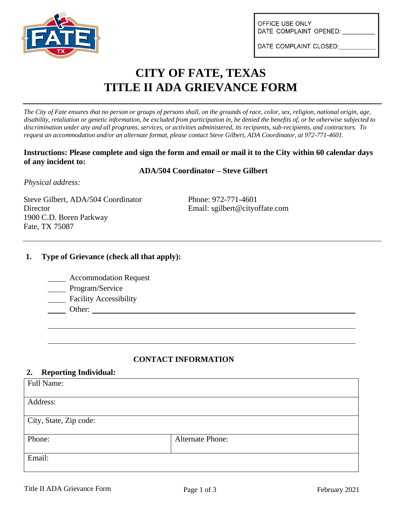

OFFICE USE ONLY DATE COMPLAINT OPENED:

DATE COMPLAINT CLOSED:

# **CITY OF FATE, TEXAS TITLE II ADA GRIEVANCE FORM**

*The City of Fate ensures that no person or groups of persons shall, on the grounds of race, color, sex, religion, national origin, age, disability, retaliation or genetic information, be excluded from participation in, be denied the benefits of, or be otherwise subjected to discrimination under any and all programs, services, or activities administered, its recipients, sub-recipients, and contractors. To request an accommodation and/or an alternate format, please contact Steve Gilbert, ADA Coordinator, at 972-771-4601.*

#### **Instructions: Please complete and sign the form and email or mail it to the City within 60 calendar days of any incident to:**

#### **ADA/504 Coordinator – Steve Gilbert**

*Physical address:*

Steve Gilbert, ADA/504 Coordinator Phone: 972-771-4601 Director Email: sgilbert@cityoffate.com 1900 C.D. Boren Parkway Fate, TX 75087

## **1. Type of Grievance (check all that apply):**

| <b>Accommodation Request</b> |  |
|------------------------------|--|
|                              |  |

- Program/Service
- Facility Accessibility
- Other:

## **CONTACT INFORMATION**

#### **2. Reporting Individual:**

| Full Name:             |                         |
|------------------------|-------------------------|
| Address:               |                         |
| City, State, Zip code: |                         |
| Phone:                 | <b>Alternate Phone:</b> |
| Email:                 |                         |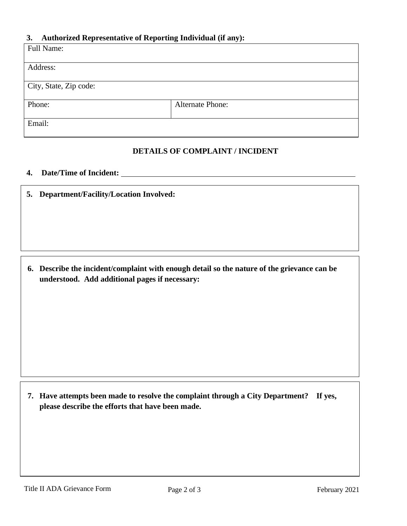## **3. Authorized Representative of Reporting Individual (if any):**

| Full Name:             |                         |
|------------------------|-------------------------|
|                        |                         |
| Address:               |                         |
|                        |                         |
| City, State, Zip code: |                         |
| Phone:                 | <b>Alternate Phone:</b> |
| Email:                 |                         |

## **DETAILS OF COMPLAINT / INCIDENT**

# **4. Date/Time of Incident:**

**5. Department/Facility/Location Involved:**

**6. Describe the incident/complaint with enough detail so the nature of the grievance can be understood. Add additional pages if necessary:**

**7. Have attempts been made to resolve the complaint through a City Department? If yes, please describe the efforts that have been made.**